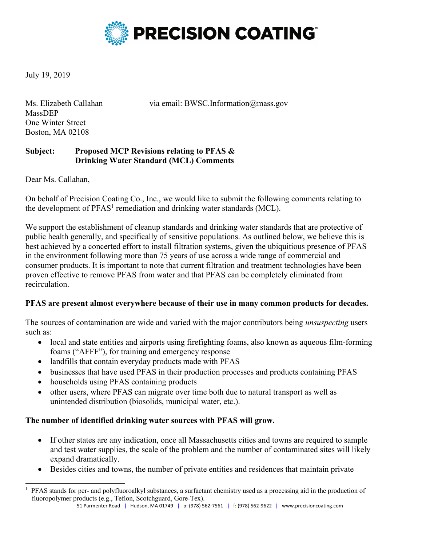

July 19, 2019

Ms. Elizabeth Callahan via email: BWSC.Information@mass.gov

MassDEP One Winter Street Boston, MA 02108

## **Subject: Proposed MCP Revisions relating to PFAS & Drinking Water Standard (MCL) Comments**

Dear Ms. Callahan,

On behalf of Precision Coating Co., Inc., we would like to submit the following comments relating to the development of  $PFAST$  remediation and drinking water standards (MCL).

We support the establishment of cleanup standards and drinking water standards that are protective of public health generally, and specifically of sensitive populations. As outlined below, we believe this is best achieved by a concerted effort to install filtration systems, given the ubiquitious presence of PFAS in the environment following more than 75 years of use across a wide range of commercial and consumer products. It is important to note that current filtration and treatment technologies have been proven effective to remove PFAS from water and that PFAS can be completely eliminated from recirculation.

### **PFAS are present almost everywhere because of their use in many common products for decades.**

The sources of contamination are wide and varied with the major contributors being *unsuspecting* users such as:

- local and state entities and airports using firefighting foams, also known as aqueous film-forming foams ("AFFF"), for training and emergency response
- landfills that contain everyday products made with PFAS
- businesses that have used PFAS in their production processes and products containing PFAS
- households using PFAS containing products
- other users, where PFAS can migrate over time both due to natural transport as well as unintended distribution (biosolids, municipal water, etc.).

# **The number of identified drinking water sources with PFAS will grow.**

- If other states are any indication, once all Massachusetts cities and towns are required to sample and test water supplies, the scale of the problem and the number of contaminated sites will likely expand dramatically.
- Besides cities and towns, the number of private entities and residences that maintain private

<sup>1</sup> PFAS stands for per- and polyfluoroalkyl substances, a surfactant chemistry used as a processing aid in the production of fluoropolymer products (e.g., Teflon, Scotchguard, Gore-Tex).